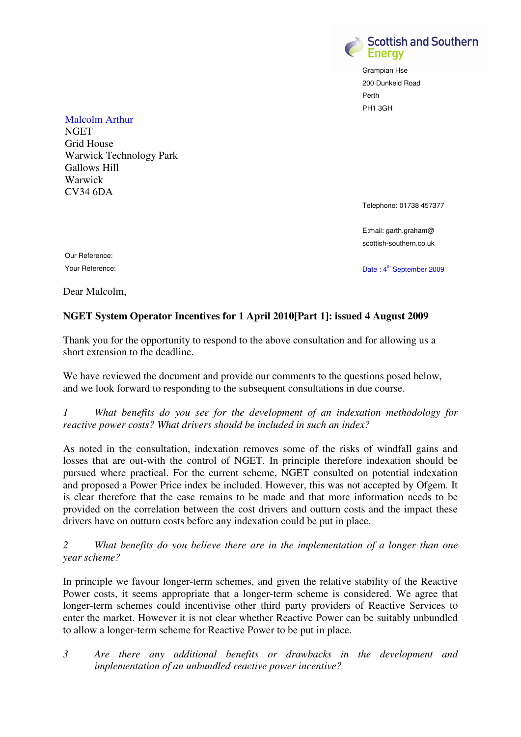

Grampian Hse 200 Dunkeld Road Perth PH1 3GH

Malcolm Arthur **NGET** Grid House Warwick Technology Park Gallows Hill Warwick CV34 6DA

Telephone: 01738 457377

E:mail: garth.graham@ scottish-southern.co.uk

Our Reference:

Your Reference: Date : 4<sup>th</sup> September 2009

Dear Malcolm,

## **NGET System Operator Incentives for 1 April 2010[Part 1]: issued 4 August 2009**

Thank you for the opportunity to respond to the above consultation and for allowing us a short extension to the deadline.

We have reviewed the document and provide our comments to the questions posed below, and we look forward to responding to the subsequent consultations in due course.

*1 What benefits do you see for the development of an indexation methodology for reactive power costs? What drivers should be included in such an index?* 

As noted in the consultation, indexation removes some of the risks of windfall gains and losses that are out-with the control of NGET. In principle therefore indexation should be pursued where practical. For the current scheme, NGET consulted on potential indexation and proposed a Power Price index be included. However, this was not accepted by Ofgem. It is clear therefore that the case remains to be made and that more information needs to be provided on the correlation between the cost drivers and outturn costs and the impact these drivers have on outturn costs before any indexation could be put in place.

*2 What benefits do you believe there are in the implementation of a longer than one year scheme?* 

In principle we favour longer-term schemes, and given the relative stability of the Reactive Power costs, it seems appropriate that a longer-term scheme is considered. We agree that longer-term schemes could incentivise other third party providers of Reactive Services to enter the market. However it is not clear whether Reactive Power can be suitably unbundled to allow a longer-term scheme for Reactive Power to be put in place.

*3 Are there any additional benefits or drawbacks in the development and implementation of an unbundled reactive power incentive?*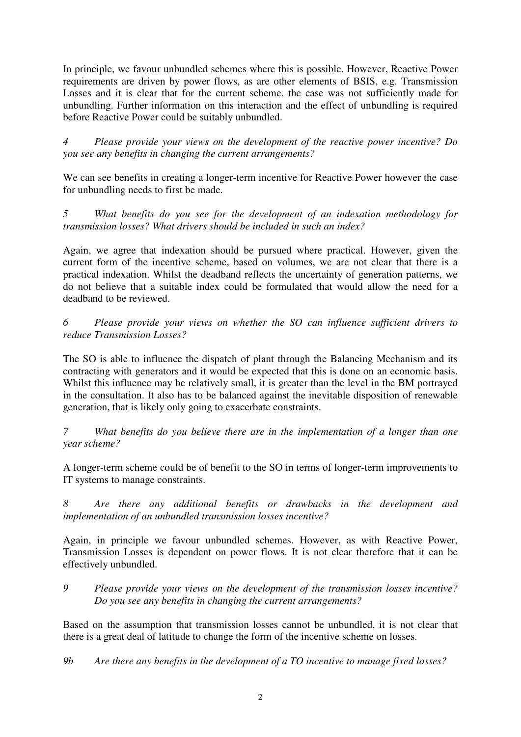In principle, we favour unbundled schemes where this is possible. However, Reactive Power requirements are driven by power flows, as are other elements of BSIS, e.g. Transmission Losses and it is clear that for the current scheme, the case was not sufficiently made for unbundling. Further information on this interaction and the effect of unbundling is required before Reactive Power could be suitably unbundled.

*4 Please provide your views on the development of the reactive power incentive? Do you see any benefits in changing the current arrangements?* 

We can see benefits in creating a longer-term incentive for Reactive Power however the case for unbundling needs to first be made.

*5 What benefits do you see for the development of an indexation methodology for transmission losses? What drivers should be included in such an index?* 

Again, we agree that indexation should be pursued where practical. However, given the current form of the incentive scheme, based on volumes, we are not clear that there is a practical indexation. Whilst the deadband reflects the uncertainty of generation patterns, we do not believe that a suitable index could be formulated that would allow the need for a deadband to be reviewed.

*6 Please provide your views on whether the SO can influence sufficient drivers to reduce Transmission Losses?* 

The SO is able to influence the dispatch of plant through the Balancing Mechanism and its contracting with generators and it would be expected that this is done on an economic basis. Whilst this influence may be relatively small, it is greater than the level in the BM portrayed in the consultation. It also has to be balanced against the inevitable disposition of renewable generation, that is likely only going to exacerbate constraints.

*7 What benefits do you believe there are in the implementation of a longer than one year scheme?* 

A longer-term scheme could be of benefit to the SO in terms of longer-term improvements to IT systems to manage constraints.

*8 Are there any additional benefits or drawbacks in the development and implementation of an unbundled transmission losses incentive?* 

Again, in principle we favour unbundled schemes. However, as with Reactive Power, Transmission Losses is dependent on power flows. It is not clear therefore that it can be effectively unbundled.

*9 Please provide your views on the development of the transmission losses incentive? Do you see any benefits in changing the current arrangements?* 

Based on the assumption that transmission losses cannot be unbundled, it is not clear that there is a great deal of latitude to change the form of the incentive scheme on losses.

*9b Are there any benefits in the development of a TO incentive to manage fixed losses?*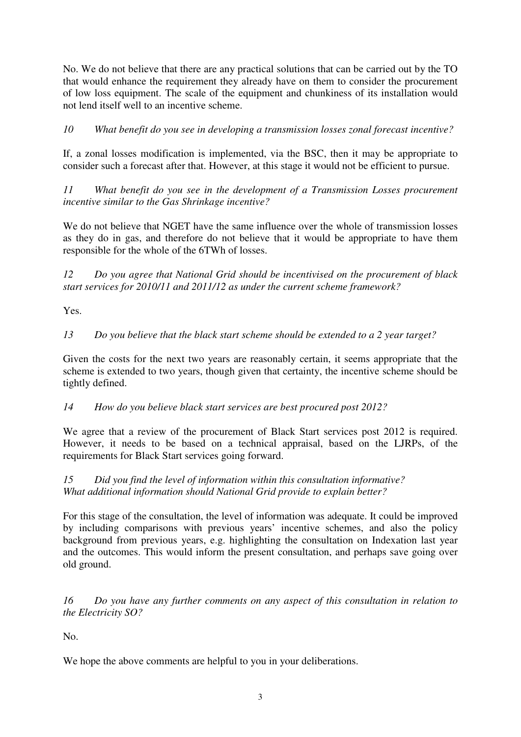No. We do not believe that there are any practical solutions that can be carried out by the TO that would enhance the requirement they already have on them to consider the procurement of low loss equipment. The scale of the equipment and chunkiness of its installation would not lend itself well to an incentive scheme.

*10 What benefit do you see in developing a transmission losses zonal forecast incentive?* 

If, a zonal losses modification is implemented, via the BSC, then it may be appropriate to consider such a forecast after that. However, at this stage it would not be efficient to pursue.

*11 What benefit do you see in the development of a Transmission Losses procurement incentive similar to the Gas Shrinkage incentive?* 

We do not believe that NGET have the same influence over the whole of transmission losses as they do in gas, and therefore do not believe that it would be appropriate to have them responsible for the whole of the 6TWh of losses.

*12 Do you agree that National Grid should be incentivised on the procurement of black start services for 2010/11 and 2011/12 as under the current scheme framework?* 

Yes.

*13 Do you believe that the black start scheme should be extended to a 2 year target?* 

Given the costs for the next two years are reasonably certain, it seems appropriate that the scheme is extended to two years, though given that certainty, the incentive scheme should be tightly defined.

*14 How do you believe black start services are best procured post 2012?* 

We agree that a review of the procurement of Black Start services post 2012 is required. However, it needs to be based on a technical appraisal, based on the LJRPs, of the requirements for Black Start services going forward.

*15 Did you find the level of information within this consultation informative? What additional information should National Grid provide to explain better?* 

For this stage of the consultation, the level of information was adequate. It could be improved by including comparisons with previous years' incentive schemes, and also the policy background from previous years, e.g. highlighting the consultation on Indexation last year and the outcomes. This would inform the present consultation, and perhaps save going over old ground.

*16 Do you have any further comments on any aspect of this consultation in relation to the Electricity SO?* 

No.

We hope the above comments are helpful to you in your deliberations.